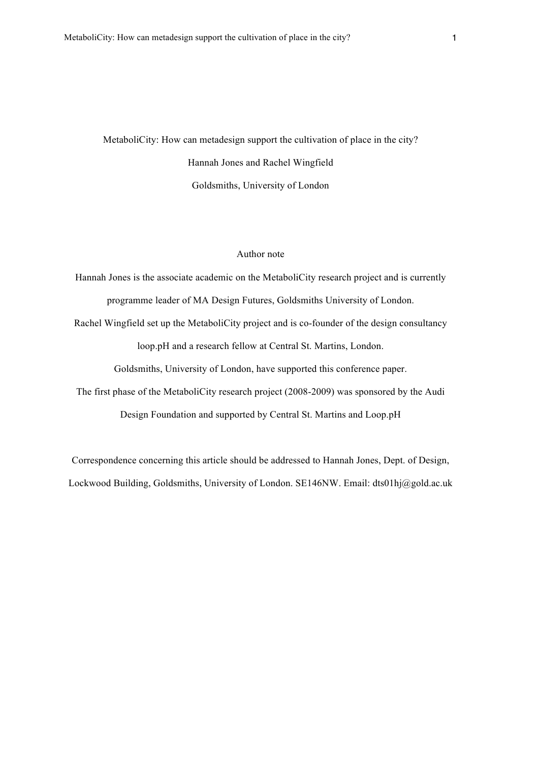MetaboliCity: How can metadesign support the cultivation of place in the city? Hannah Jones and Rachel Wingfield Goldsmiths, University of London

# Author note

Hannah Jones is the associate academic on the MetaboliCity research project and is currently programme leader of MA Design Futures, Goldsmiths University of London. Rachel Wingfield set up the MetaboliCity project and is co-founder of the design consultancy loop.pH and a research fellow at Central St. Martins, London. Goldsmiths, University of London, have supported this conference paper. The first phase of the MetaboliCity research project (2008-2009) was sponsored by the Audi Design Foundation and supported by Central St. Martins and Loop.pH

Correspondence concerning this article should be addressed to Hannah Jones, Dept. of Design, Lockwood Building, Goldsmiths, University of London. SE146NW. Email: dts01hj@gold.ac.uk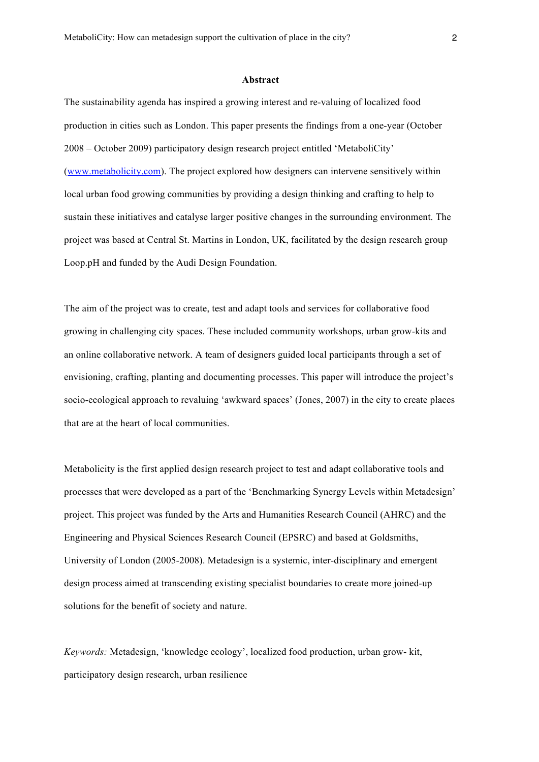#### **Abstract**

The sustainability agenda has inspired a growing interest and re-valuing of localized food production in cities such as London. This paper presents the findings from a one-year (October 2008 – October 2009) participatory design research project entitled 'MetaboliCity' (www.metabolicity.com). The project explored how designers can intervene sensitively within local urban food growing communities by providing a design thinking and crafting to help to sustain these initiatives and catalyse larger positive changes in the surrounding environment. The project was based at Central St. Martins in London, UK, facilitated by the design research group Loop.pH and funded by the Audi Design Foundation.

The aim of the project was to create, test and adapt tools and services for collaborative food growing in challenging city spaces. These included community workshops, urban grow-kits and an online collaborative network. A team of designers guided local participants through a set of envisioning, crafting, planting and documenting processes. This paper will introduce the project's socio-ecological approach to revaluing 'awkward spaces' (Jones, 2007) in the city to create places that are at the heart of local communities.

Metabolicity is the first applied design research project to test and adapt collaborative tools and processes that were developed as a part of the 'Benchmarking Synergy Levels within Metadesign' project. This project was funded by the Arts and Humanities Research Council (AHRC) and the Engineering and Physical Sciences Research Council (EPSRC) and based at Goldsmiths, University of London (2005-2008). Metadesign is a systemic, inter-disciplinary and emergent design process aimed at transcending existing specialist boundaries to create more joined-up solutions for the benefit of society and nature.

*Keywords:* Metadesign, 'knowledge ecology', localized food production, urban grow- kit, participatory design research, urban resilience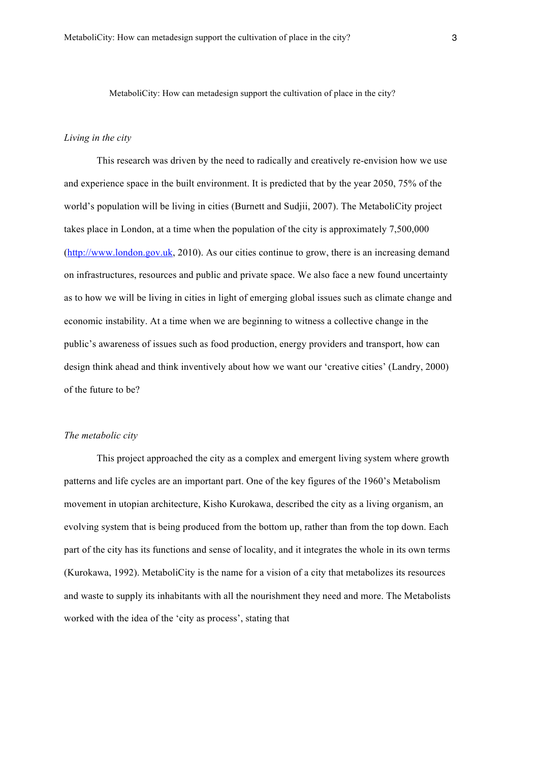MetaboliCity: How can metadesign support the cultivation of place in the city?

### *Living in the city*

This research was driven by the need to radically and creatively re-envision how we use and experience space in the built environment. It is predicted that by the year 2050, 75% of the world's population will be living in cities (Burnett and Sudjii, 2007). The MetaboliCity project takes place in London, at a time when the population of the city is approximately 7,500,000 (http://www.london.gov.uk, 2010). As our cities continue to grow, there is an increasing demand on infrastructures, resources and public and private space. We also face a new found uncertainty as to how we will be living in cities in light of emerging global issues such as climate change and economic instability. At a time when we are beginning to witness a collective change in the public's awareness of issues such as food production, energy providers and transport, how can design think ahead and think inventively about how we want our 'creative cities' (Landry, 2000) of the future to be?

### *The metabolic city*

This project approached the city as a complex and emergent living system where growth patterns and life cycles are an important part. One of the key figures of the 1960's Metabolism movement in utopian architecture, Kisho Kurokawa, described the city as a living organism, an evolving system that is being produced from the bottom up, rather than from the top down. Each part of the city has its functions and sense of locality, and it integrates the whole in its own terms (Kurokawa, 1992). MetaboliCity is the name for a vision of a city that metabolizes its resources and waste to supply its inhabitants with all the nourishment they need and more. The Metabolists worked with the idea of the 'city as process', stating that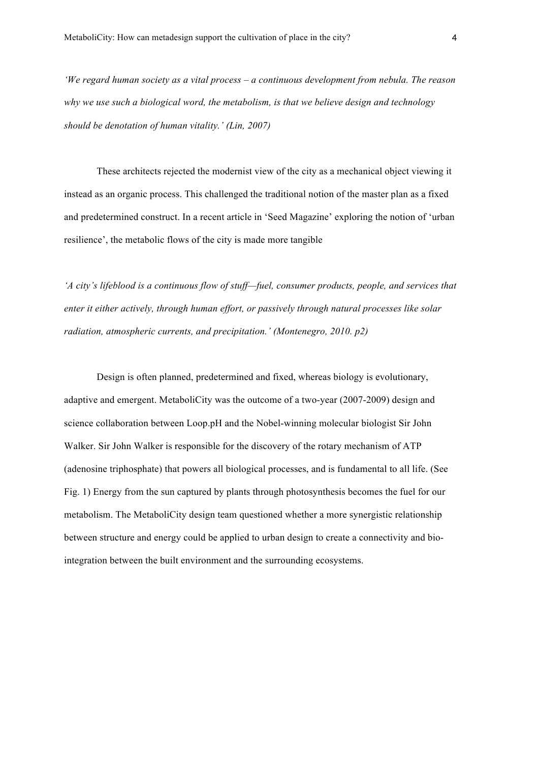*'We regard human society as a vital process – a continuous development from nebula. The reason why we use such a biological word, the metabolism, is that we believe design and technology should be denotation of human vitality.' (Lin, 2007)*

These architects rejected the modernist view of the city as a mechanical object viewing it instead as an organic process. This challenged the traditional notion of the master plan as a fixed and predetermined construct. In a recent article in 'Seed Magazine' exploring the notion of 'urban resilience', the metabolic flows of the city is made more tangible

*'A city's lifeblood is a continuous flow of stuff—fuel, consumer products, people, and services that enter it either actively, through human effort, or passively through natural processes like solar radiation, atmospheric currents, and precipitation.' (Montenegro, 2010. p2)*

Design is often planned, predetermined and fixed, whereas biology is evolutionary, adaptive and emergent. MetaboliCity was the outcome of a two-year (2007-2009) design and science collaboration between Loop.pH and the Nobel-winning molecular biologist Sir John Walker. Sir John Walker is responsible for the discovery of the rotary mechanism of ATP (adenosine triphosphate) that powers all biological processes, and is fundamental to all life. (See Fig. 1) Energy from the sun captured by plants through photosynthesis becomes the fuel for our metabolism. The MetaboliCity design team questioned whether a more synergistic relationship between structure and energy could be applied to urban design to create a connectivity and biointegration between the built environment and the surrounding ecosystems.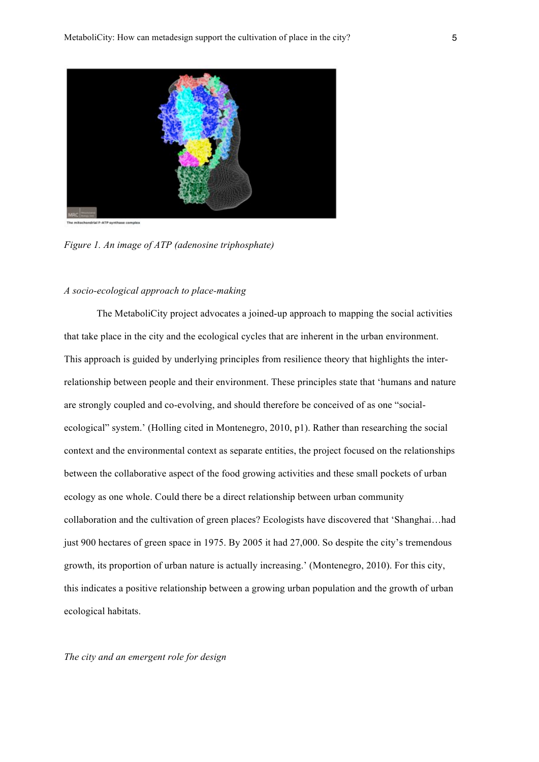

*Figure 1. An image of ATP (adenosine triphosphate)*

### *A socio-ecological approach to place-making*

The MetaboliCity project advocates a joined-up approach to mapping the social activities that take place in the city and the ecological cycles that are inherent in the urban environment. This approach is guided by underlying principles from resilience theory that highlights the interrelationship between people and their environment. These principles state that 'humans and nature are strongly coupled and co-evolving, and should therefore be conceived of as one "socialecological" system.' (Holling cited in Montenegro, 2010, p1). Rather than researching the social context and the environmental context as separate entities, the project focused on the relationships between the collaborative aspect of the food growing activities and these small pockets of urban ecology as one whole. Could there be a direct relationship between urban community collaboration and the cultivation of green places? Ecologists have discovered that 'Shanghai…had just 900 hectares of green space in 1975. By 2005 it had 27,000. So despite the city's tremendous growth, its proportion of urban nature is actually increasing.' (Montenegro, 2010). For this city, this indicates a positive relationship between a growing urban population and the growth of urban ecological habitats.

*The city and an emergent role for design*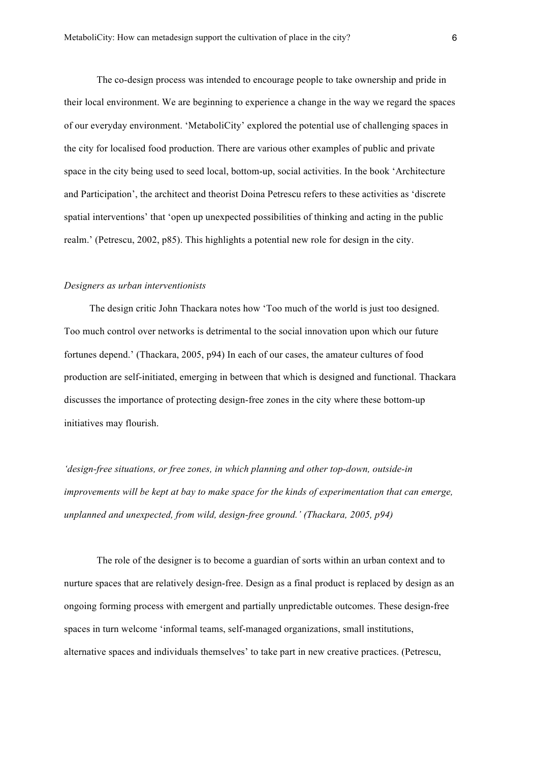The co-design process was intended to encourage people to take ownership and pride in their local environment. We are beginning to experience a change in the way we regard the spaces of our everyday environment. 'MetaboliCity' explored the potential use of challenging spaces in the city for localised food production. There are various other examples of public and private space in the city being used to seed local, bottom-up, social activities. In the book 'Architecture and Participation', the architect and theorist Doina Petrescu refers to these activities as 'discrete spatial interventions' that 'open up unexpected possibilities of thinking and acting in the public realm.' (Petrescu, 2002, p85). This highlights a potential new role for design in the city.

#### *Designers as urban interventionists*

The design critic John Thackara notes how 'Too much of the world is just too designed. Too much control over networks is detrimental to the social innovation upon which our future fortunes depend.' (Thackara, 2005, p94) In each of our cases, the amateur cultures of food production are self-initiated, emerging in between that which is designed and functional. Thackara discusses the importance of protecting design-free zones in the city where these bottom-up initiatives may flourish.

*'design-free situations, or free zones, in which planning and other top-down, outside-in improvements will be kept at bay to make space for the kinds of experimentation that can emerge, unplanned and unexpected, from wild, design-free ground.' (Thackara, 2005, p94)*

The role of the designer is to become a guardian of sorts within an urban context and to nurture spaces that are relatively design-free. Design as a final product is replaced by design as an ongoing forming process with emergent and partially unpredictable outcomes. These design-free spaces in turn welcome 'informal teams, self-managed organizations, small institutions, alternative spaces and individuals themselves' to take part in new creative practices. (Petrescu,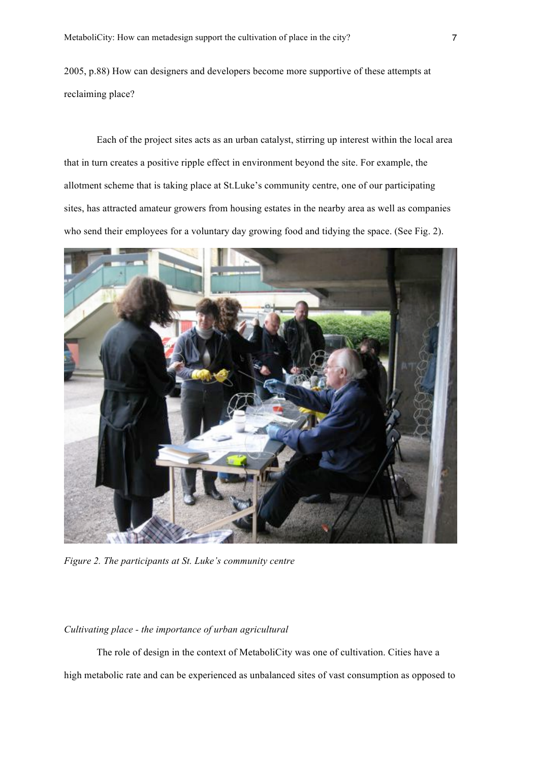2005, p.88) How can designers and developers become more supportive of these attempts at reclaiming place?

Each of the project sites acts as an urban catalyst, stirring up interest within the local area that in turn creates a positive ripple effect in environment beyond the site. For example, the allotment scheme that is taking place at St.Luke's community centre, one of our participating sites, has attracted amateur growers from housing estates in the nearby area as well as companies who send their employees for a voluntary day growing food and tidying the space. (See Fig. 2).



*Figure 2. The participants at St. Luke's community centre*

# *Cultivating place - the importance of urban agricultural*

The role of design in the context of MetaboliCity was one of cultivation. Cities have a high metabolic rate and can be experienced as unbalanced sites of vast consumption as opposed to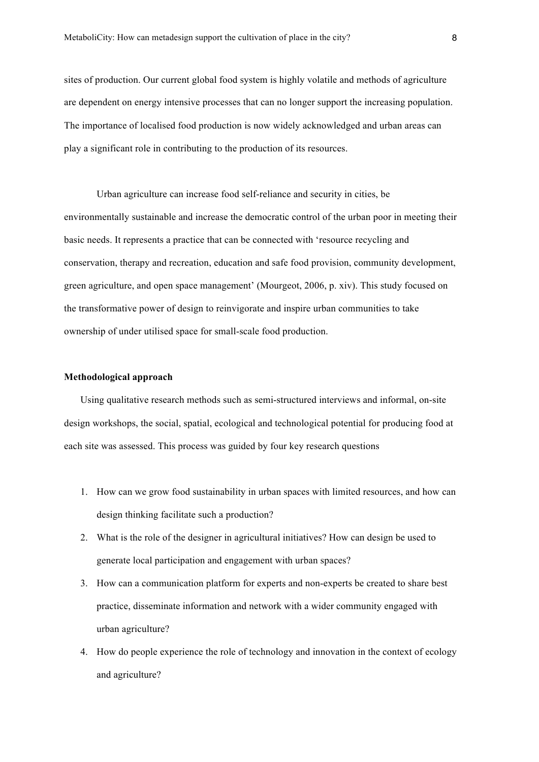sites of production. Our current global food system is highly volatile and methods of agriculture are dependent on energy intensive processes that can no longer support the increasing population. The importance of localised food production is now widely acknowledged and urban areas can play a significant role in contributing to the production of its resources.

Urban agriculture can increase food self-reliance and security in cities, be environmentally sustainable and increase the democratic control of the urban poor in meeting their basic needs. It represents a practice that can be connected with 'resource recycling and conservation, therapy and recreation, education and safe food provision, community development, green agriculture, and open space management' (Mourgeot, 2006, p. xiv). This study focused on the transformative power of design to reinvigorate and inspire urban communities to take ownership of under utilised space for small-scale food production.

#### **Methodological approach**

Using qualitative research methods such as semi-structured interviews and informal, on-site design workshops, the social, spatial, ecological and technological potential for producing food at each site was assessed. This process was guided by four key research questions

- 1. How can we grow food sustainability in urban spaces with limited resources, and how can design thinking facilitate such a production?
- 2. What is the role of the designer in agricultural initiatives? How can design be used to generate local participation and engagement with urban spaces?
- 3. How can a communication platform for experts and non-experts be created to share best practice, disseminate information and network with a wider community engaged with urban agriculture?
- 4. How do people experience the role of technology and innovation in the context of ecology and agriculture?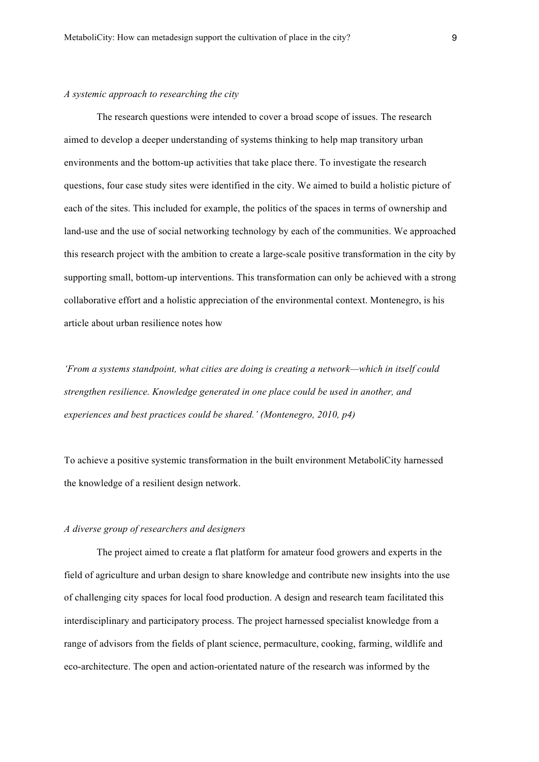#### *A systemic approach to researching the city*

The research questions were intended to cover a broad scope of issues. The research aimed to develop a deeper understanding of systems thinking to help map transitory urban environments and the bottom-up activities that take place there. To investigate the research questions, four case study sites were identified in the city. We aimed to build a holistic picture of each of the sites. This included for example, the politics of the spaces in terms of ownership and land-use and the use of social networking technology by each of the communities. We approached this research project with the ambition to create a large-scale positive transformation in the city by supporting small, bottom-up interventions. This transformation can only be achieved with a strong collaborative effort and a holistic appreciation of the environmental context. Montenegro, is his article about urban resilience notes how

*'From a systems standpoint, what cities are doing is creating a network—which in itself could strengthen resilience. Knowledge generated in one place could be used in another, and experiences and best practices could be shared.' (Montenegro, 2010, p4)*

To achieve a positive systemic transformation in the built environment MetaboliCity harnessed the knowledge of a resilient design network.

### *A diverse group of researchers and designers*

The project aimed to create a flat platform for amateur food growers and experts in the field of agriculture and urban design to share knowledge and contribute new insights into the use of challenging city spaces for local food production. A design and research team facilitated this interdisciplinary and participatory process. The project harnessed specialist knowledge from a range of advisors from the fields of plant science, permaculture, cooking, farming, wildlife and eco-architecture. The open and action-orientated nature of the research was informed by the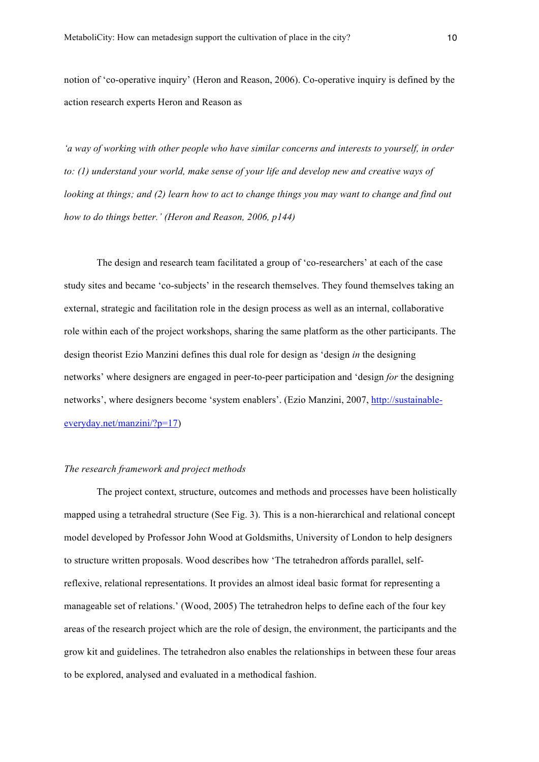notion of 'co-operative inquiry' (Heron and Reason, 2006). Co-operative inquiry is defined by the action research experts Heron and Reason as

*'a way of working with other people who have similar concerns and interests to yourself, in order to: (1) understand your world, make sense of your life and develop new and creative ways of looking at things; and (2) learn how to act to change things you may want to change and find out how to do things better.' (Heron and Reason, 2006, p144)*

The design and research team facilitated a group of 'co-researchers' at each of the case study sites and became 'co-subjects' in the research themselves. They found themselves taking an external, strategic and facilitation role in the design process as well as an internal, collaborative role within each of the project workshops, sharing the same platform as the other participants. The design theorist Ezio Manzini defines this dual role for design as 'design *in* the designing networks' where designers are engaged in peer-to-peer participation and 'design *for* the designing networks', where designers become 'system enablers'. (Ezio Manzini, 2007, http://sustainableeveryday.net/manzini/?p=17)

#### *The research framework and project methods*

The project context, structure, outcomes and methods and processes have been holistically mapped using a tetrahedral structure (See Fig. 3). This is a non-hierarchical and relational concept model developed by Professor John Wood at Goldsmiths, University of London to help designers to structure written proposals. Wood describes how 'The tetrahedron affords parallel, selfreflexive, relational representations. It provides an almost ideal basic format for representing a manageable set of relations.' (Wood, 2005) The tetrahedron helps to define each of the four key areas of the research project which are the role of design, the environment, the participants and the grow kit and guidelines. The tetrahedron also enables the relationships in between these four areas to be explored, analysed and evaluated in a methodical fashion.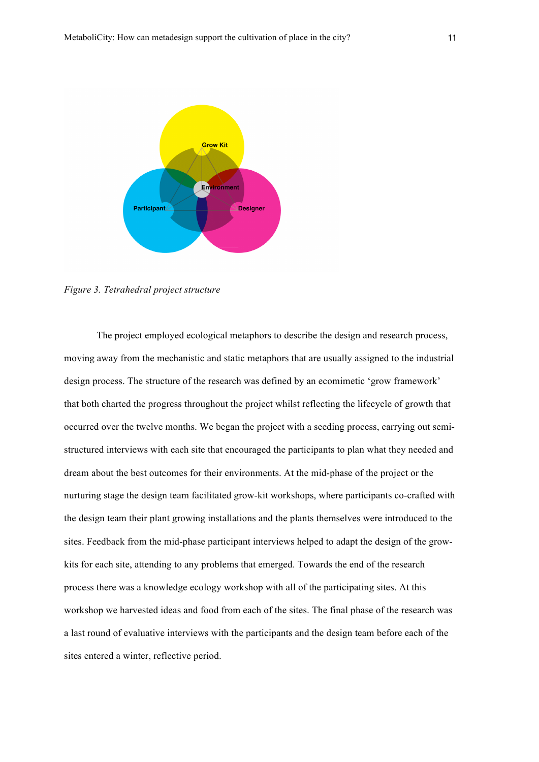

*Figure 3. Tetrahedral project structure*

The project employed ecological metaphors to describe the design and research process, moving away from the mechanistic and static metaphors that are usually assigned to the industrial design process. The structure of the research was defined by an ecomimetic 'grow framework' that both charted the progress throughout the project whilst reflecting the lifecycle of growth that occurred over the twelve months. We began the project with a seeding process, carrying out semistructured interviews with each site that encouraged the participants to plan what they needed and dream about the best outcomes for their environments. At the mid-phase of the project or the nurturing stage the design team facilitated grow-kit workshops, where participants co-crafted with the design team their plant growing installations and the plants themselves were introduced to the sites. Feedback from the mid-phase participant interviews helped to adapt the design of the growkits for each site, attending to any problems that emerged. Towards the end of the research process there was a knowledge ecology workshop with all of the participating sites. At this workshop we harvested ideas and food from each of the sites. The final phase of the research was a last round of evaluative interviews with the participants and the design team before each of the sites entered a winter, reflective period.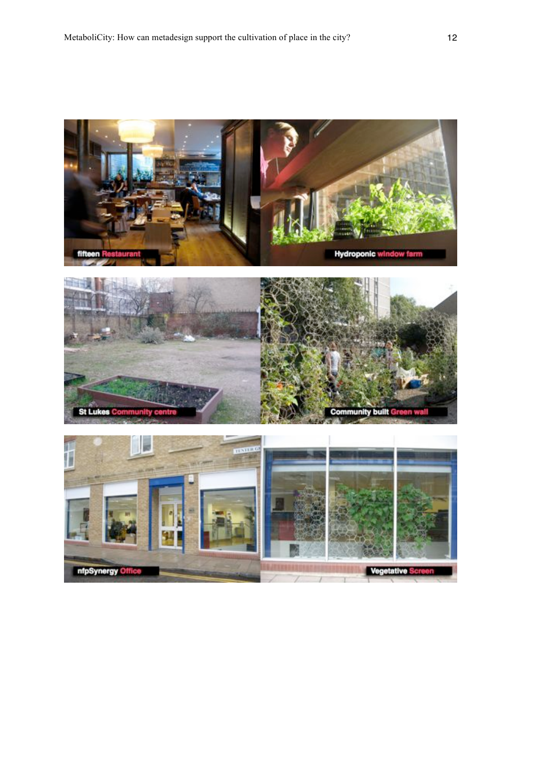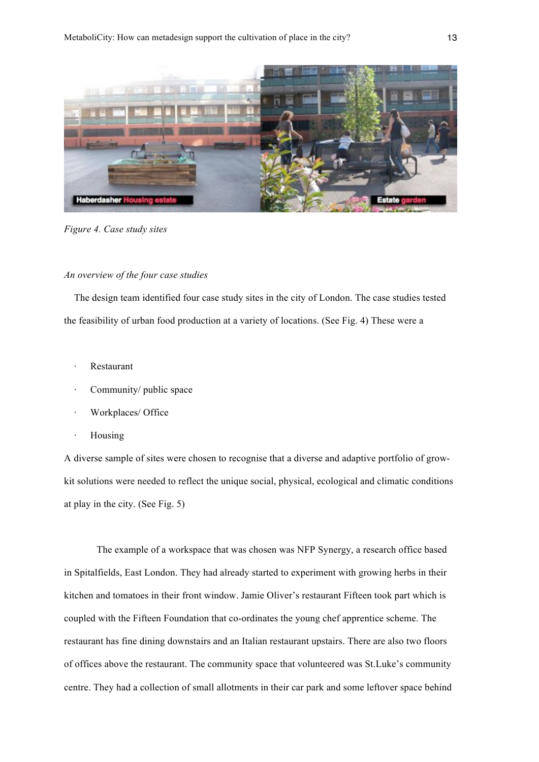

*Figure 4. Case study sites*

### *An overview of the four case studies*

The design team identified four case study sites in the city of London. The case studies tested the feasibility of urban food production at a variety of locations. (See Fig. 4) These were a

- **Restaurant**
- Community/ public space
- Workplaces/ Office
- · Housing

A diverse sample of sites were chosen to recognise that a diverse and adaptive portfolio of growkit solutions were needed to reflect the unique social, physical, ecological and climatic conditions at play in the city. (See Fig. 5)

The example of a workspace that was chosen was NFP Synergy, a research office based in Spitalfields, East London. They had already started to experiment with growing herbs in their kitchen and tomatoes in their front window. Jamie Oliver's restaurant Fifteen took part which is coupled with the Fifteen Foundation that co-ordinates the young chef apprentice scheme. The restaurant has fine dining downstairs and an Italian restaurant upstairs. There are also two floors of offices above the restaurant. The community space that volunteered was St.Luke's community centre. They had a collection of small allotments in their car park and some leftover space behind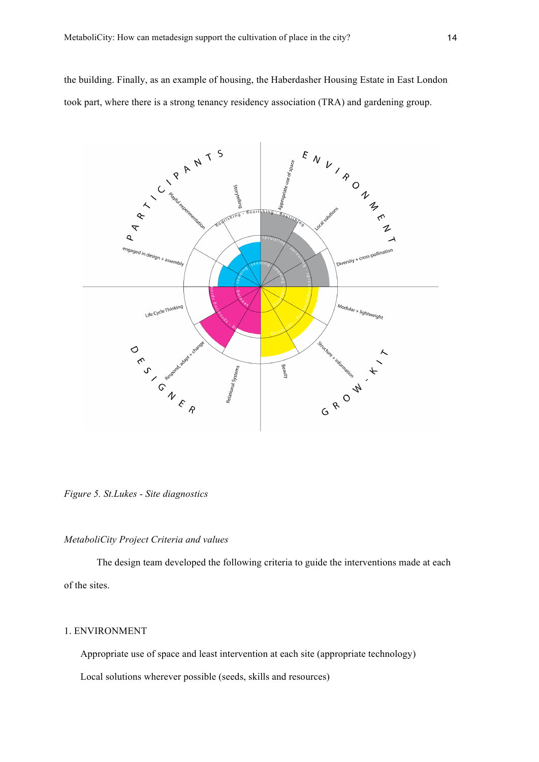the building. Finally, as an example of housing, the Haberdasher Housing Estate in East London took part, where there is a strong tenancy residency association (TRA) and gardening group.



*Figure 5. St.Lukes - Site diagnostics*

## *MetaboliCity Project Criteria and values*

The design team developed the following criteria to guide the interventions made at each of the sites.

# 1. ENVIRONMENT

Appropriate use of space and least intervention at each site (appropriate technology)

Local solutions wherever possible (seeds, skills and resources)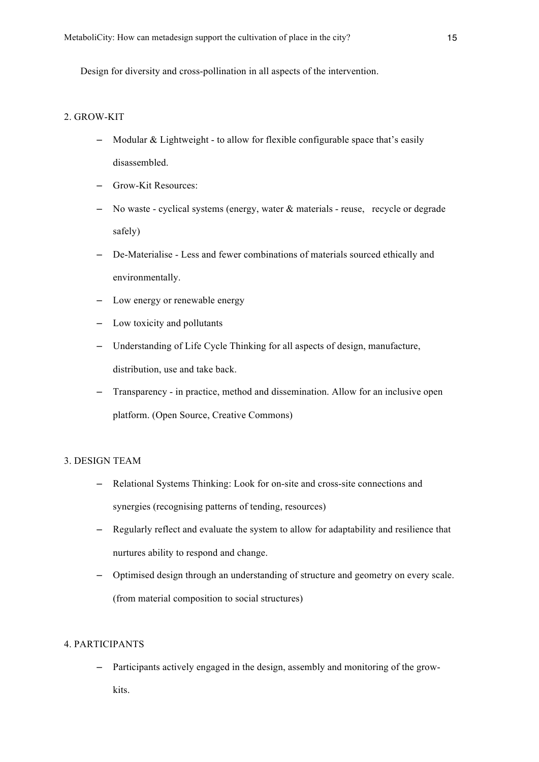Design for diversity and cross-pollination in all aspects of the intervention.

# 2. GROW-KIT

- Modular & Lightweight to allow for flexible configurable space that's easily disassembled.
- Grow-Kit Resources:
- No waste cyclical systems (energy, water & materials reuse, recycle or degrade safely)
- De-Materialise Less and fewer combinations of materials sourced ethically and environmentally.
- Low energy or renewable energy
- Low toxicity and pollutants
- Understanding of Life Cycle Thinking for all aspects of design, manufacture, distribution, use and take back.
- Transparency in practice, method and dissemination. Allow for an inclusive open platform. (Open Source, Creative Commons)

# 3. DESIGN TEAM

- Relational Systems Thinking: Look for on-site and cross-site connections and synergies (recognising patterns of tending, resources)
- Regularly reflect and evaluate the system to allow for adaptability and resilience that nurtures ability to respond and change.
- Optimised design through an understanding of structure and geometry on every scale. (from material composition to social structures)

# 4. PARTICIPANTS

– Participants actively engaged in the design, assembly and monitoring of the growkits.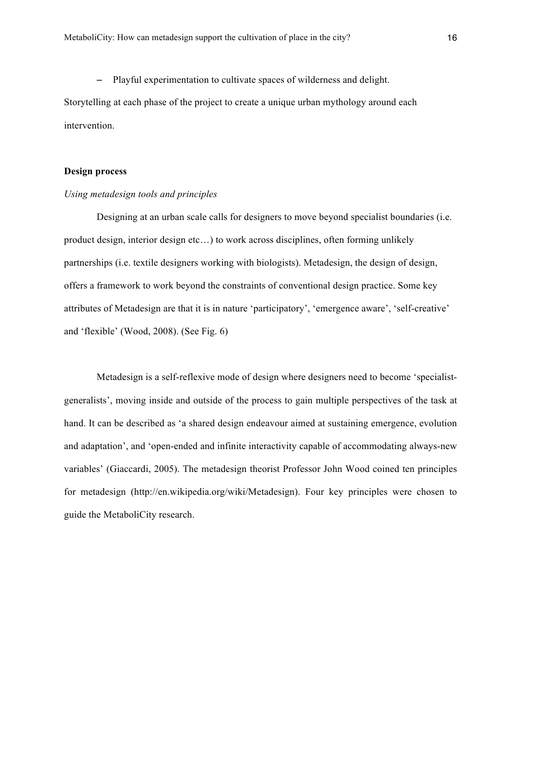– Playful experimentation to cultivate spaces of wilderness and delight. Storytelling at each phase of the project to create a unique urban mythology around each intervention.

### **Design process**

# *Using metadesign tools and principles*

Designing at an urban scale calls for designers to move beyond specialist boundaries (i.e. product design, interior design etc…) to work across disciplines, often forming unlikely partnerships (i.e. textile designers working with biologists). Metadesign, the design of design, offers a framework to work beyond the constraints of conventional design practice. Some key attributes of Metadesign are that it is in nature 'participatory', 'emergence aware', 'self-creative' and 'flexible' (Wood, 2008). (See Fig. 6)

Metadesign is a self-reflexive mode of design where designers need to become 'specialistgeneralists', moving inside and outside of the process to gain multiple perspectives of the task at hand. It can be described as 'a shared design endeavour aimed at sustaining emergence, evolution and adaptation', and 'open-ended and infinite interactivity capable of accommodating always-new variables' (Giaccardi, 2005). The metadesign theorist Professor John Wood coined ten principles for metadesign (http://en.wikipedia.org/wiki/Metadesign). Four key principles were chosen to guide the MetaboliCity research.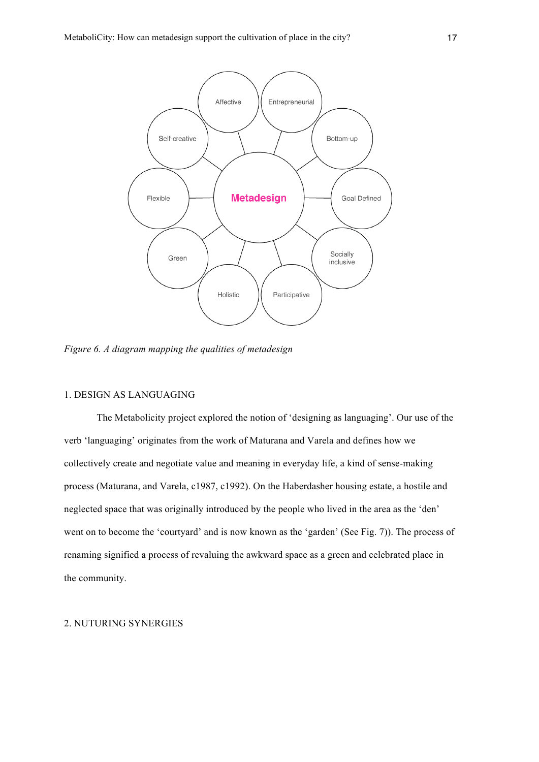

*Figure 6. A diagram mapping the qualities of metadesign*

# 1. DESIGN AS LANGUAGING

The Metabolicity project explored the notion of 'designing as languaging'. Our use of the verb 'languaging' originates from the work of Maturana and Varela and defines how we collectively create and negotiate value and meaning in everyday life, a kind of sense-making process (Maturana, and Varela, c1987, c1992). On the Haberdasher housing estate, a hostile and neglected space that was originally introduced by the people who lived in the area as the 'den' went on to become the 'courtyard' and is now known as the 'garden' (See Fig. 7)). The process of renaming signified a process of revaluing the awkward space as a green and celebrated place in the community.

## 2. NUTURING SYNERGIES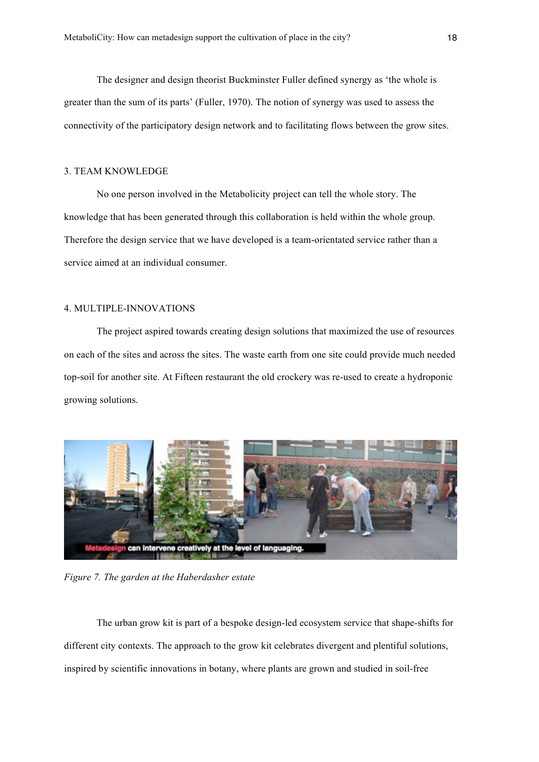The designer and design theorist Buckminster Fuller defined synergy as 'the whole is greater than the sum of its parts' (Fuller, 1970). The notion of synergy was used to assess the connectivity of the participatory design network and to facilitating flows between the grow sites.

## 3. TEAM KNOWLEDGE

No one person involved in the Metabolicity project can tell the whole story. The knowledge that has been generated through this collaboration is held within the whole group. Therefore the design service that we have developed is a team-orientated service rather than a service aimed at an individual consumer.

## 4. MULTIPLE-INNOVATIONS

The project aspired towards creating design solutions that maximized the use of resources on each of the sites and across the sites. The waste earth from one site could provide much needed top-soil for another site. At Fifteen restaurant the old crockery was re-used to create a hydroponic growing solutions.



*Figure 7. The garden at the Haberdasher estate*

The urban grow kit is part of a bespoke design-led ecosystem service that shape-shifts for different city contexts. The approach to the grow kit celebrates divergent and plentiful solutions, inspired by scientific innovations in botany, where plants are grown and studied in soil-free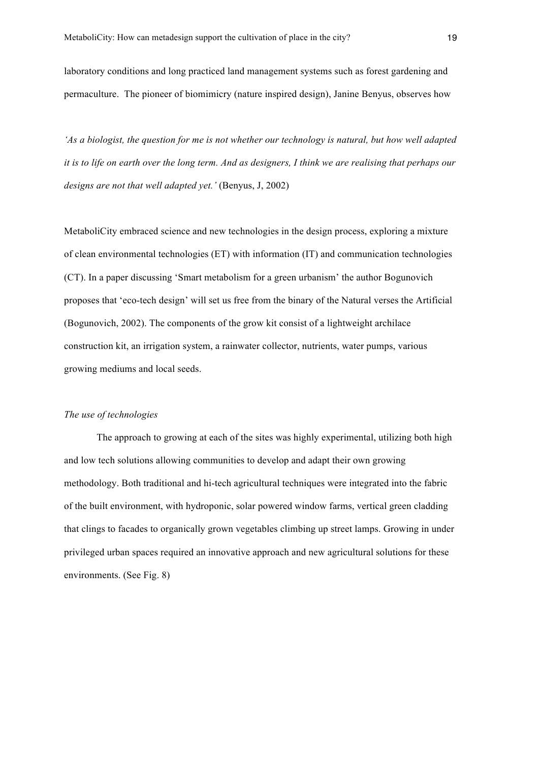laboratory conditions and long practiced land management systems such as forest gardening and permaculture. The pioneer of biomimicry (nature inspired design), Janine Benyus, observes how

*'As a biologist, the question for me is not whether our technology is natural, but how well adapted it is to life on earth over the long term. And as designers, I think we are realising that perhaps our designs are not that well adapted yet.'* (Benyus, J, 2002)

MetaboliCity embraced science and new technologies in the design process, exploring a mixture of clean environmental technologies (ET) with information (IT) and communication technologies (CT). In a paper discussing 'Smart metabolism for a green urbanism' the author Bogunovich proposes that 'eco-tech design' will set us free from the binary of the Natural verses the Artificial (Bogunovich, 2002). The components of the grow kit consist of a lightweight archilace construction kit, an irrigation system, a rainwater collector, nutrients, water pumps, various growing mediums and local seeds.

### *The use of technologies*

The approach to growing at each of the sites was highly experimental, utilizing both high and low tech solutions allowing communities to develop and adapt their own growing methodology. Both traditional and hi-tech agricultural techniques were integrated into the fabric of the built environment, with hydroponic, solar powered window farms, vertical green cladding that clings to facades to organically grown vegetables climbing up street lamps. Growing in under privileged urban spaces required an innovative approach and new agricultural solutions for these environments. (See Fig. 8)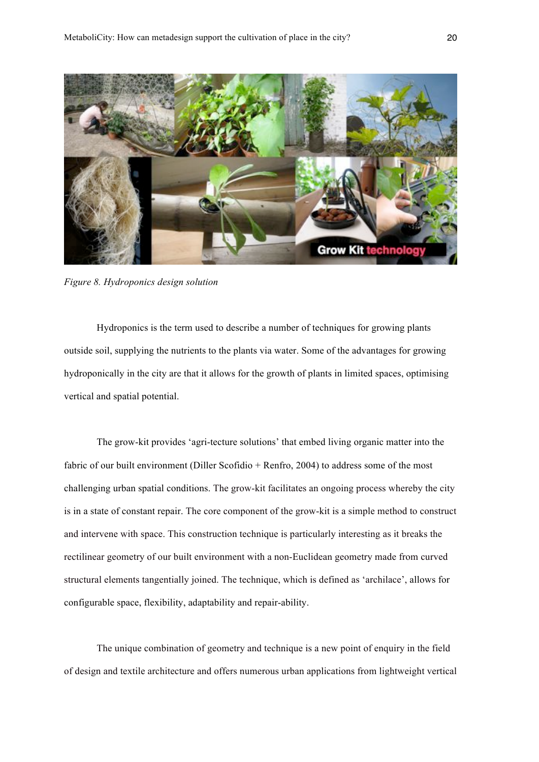

*Figure 8. Hydroponics design solution*

Hydroponics is the term used to describe a number of techniques for growing plants outside soil, supplying the nutrients to the plants via water. Some of the advantages for growing hydroponically in the city are that it allows for the growth of plants in limited spaces, optimising vertical and spatial potential.

The grow-kit provides 'agri-tecture solutions' that embed living organic matter into the fabric of our built environment (Diller Scofidio + Renfro, 2004) to address some of the most challenging urban spatial conditions. The grow-kit facilitates an ongoing process whereby the city is in a state of constant repair. The core component of the grow-kit is a simple method to construct and intervene with space. This construction technique is particularly interesting as it breaks the rectilinear geometry of our built environment with a non-Euclidean geometry made from curved structural elements tangentially joined. The technique, which is defined as 'archilace', allows for configurable space, flexibility, adaptability and repair-ability.

The unique combination of geometry and technique is a new point of enquiry in the field of design and textile architecture and offers numerous urban applications from lightweight vertical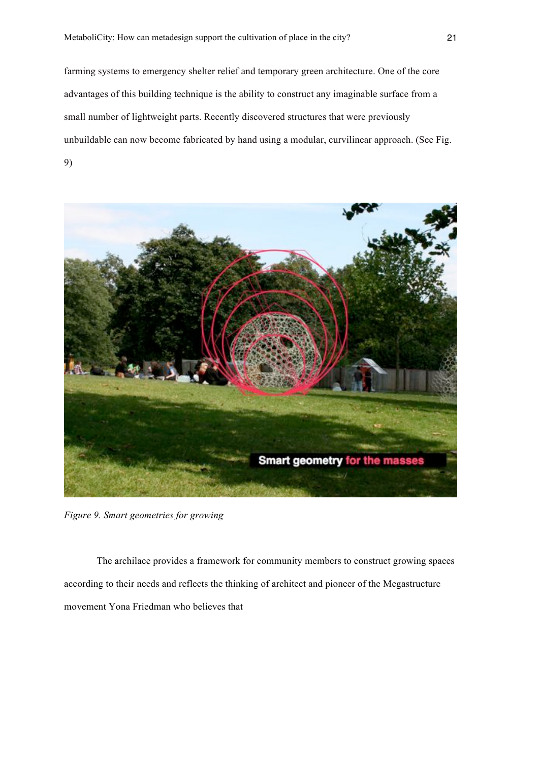farming systems to emergency shelter relief and temporary green architecture. One of the core advantages of this building technique is the ability to construct any imaginable surface from a small number of lightweight parts. Recently discovered structures that were previously unbuildable can now become fabricated by hand using a modular, curvilinear approach. (See Fig. 9)



*Figure 9. Smart geometries for growing*

The archilace provides a framework for community members to construct growing spaces according to their needs and reflects the thinking of architect and pioneer of the Megastructure movement Yona Friedman who believes that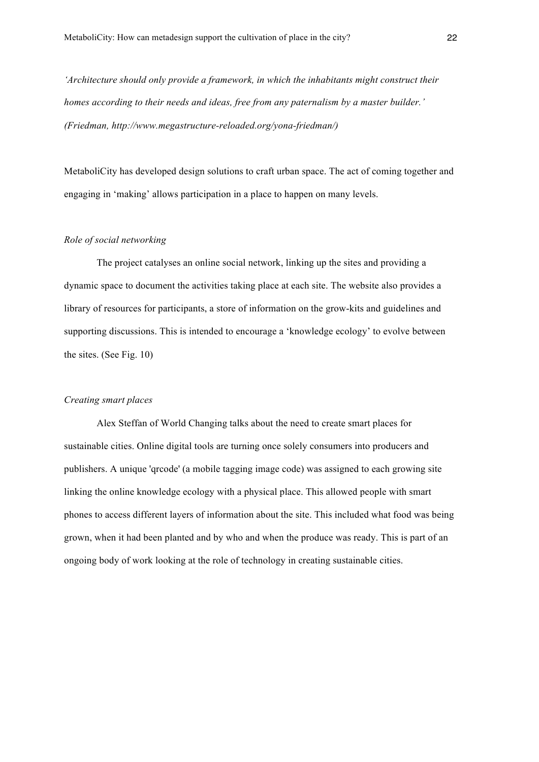*'Architecture should only provide a framework, in which the inhabitants might construct their homes according to their needs and ideas, free from any paternalism by a master builder.' (Friedman, http://www.megastructure-reloaded.org/yona-friedman/)*

MetaboliCity has developed design solutions to craft urban space. The act of coming together and engaging in 'making' allows participation in a place to happen on many levels.

### *Role of social networking*

The project catalyses an online social network, linking up the sites and providing a dynamic space to document the activities taking place at each site. The website also provides a library of resources for participants, a store of information on the grow-kits and guidelines and supporting discussions. This is intended to encourage a 'knowledge ecology' to evolve between the sites. (See Fig. 10)

#### *Creating smart places*

Alex Steffan of World Changing talks about the need to create smart places for sustainable cities. Online digital tools are turning once solely consumers into producers and publishers. A unique 'qrcode' (a mobile tagging image code) was assigned to each growing site linking the online knowledge ecology with a physical place. This allowed people with smart phones to access different layers of information about the site. This included what food was being grown, when it had been planted and by who and when the produce was ready. This is part of an ongoing body of work looking at the role of technology in creating sustainable cities.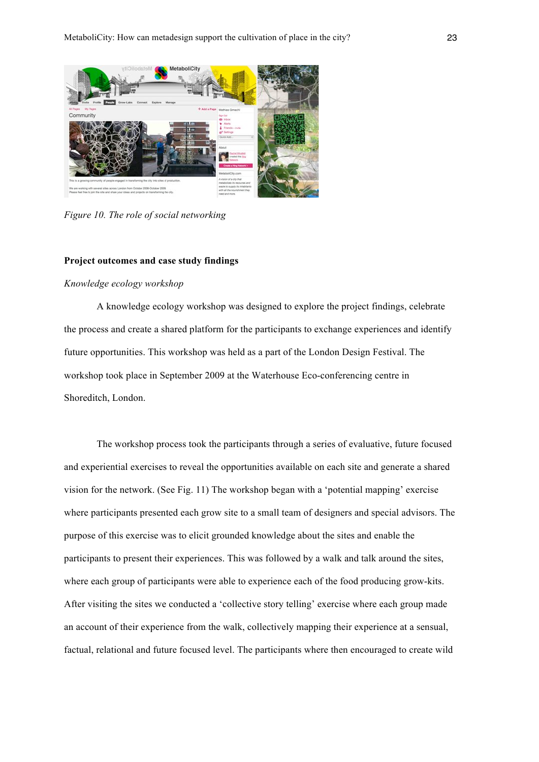

*Figure 10. The role of social networking*

#### **Project outcomes and case study findings**

### *Knowledge ecology workshop*

A knowledge ecology workshop was designed to explore the project findings, celebrate the process and create a shared platform for the participants to exchange experiences and identify future opportunities. This workshop was held as a part of the London Design Festival. The workshop took place in September 2009 at the Waterhouse Eco-conferencing centre in Shoreditch, London.

The workshop process took the participants through a series of evaluative, future focused and experiential exercises to reveal the opportunities available on each site and generate a shared vision for the network. (See Fig. 11) The workshop began with a 'potential mapping' exercise where participants presented each grow site to a small team of designers and special advisors. The purpose of this exercise was to elicit grounded knowledge about the sites and enable the participants to present their experiences. This was followed by a walk and talk around the sites, where each group of participants were able to experience each of the food producing grow-kits. After visiting the sites we conducted a 'collective story telling' exercise where each group made an account of their experience from the walk, collectively mapping their experience at a sensual, factual, relational and future focused level. The participants where then encouraged to create wild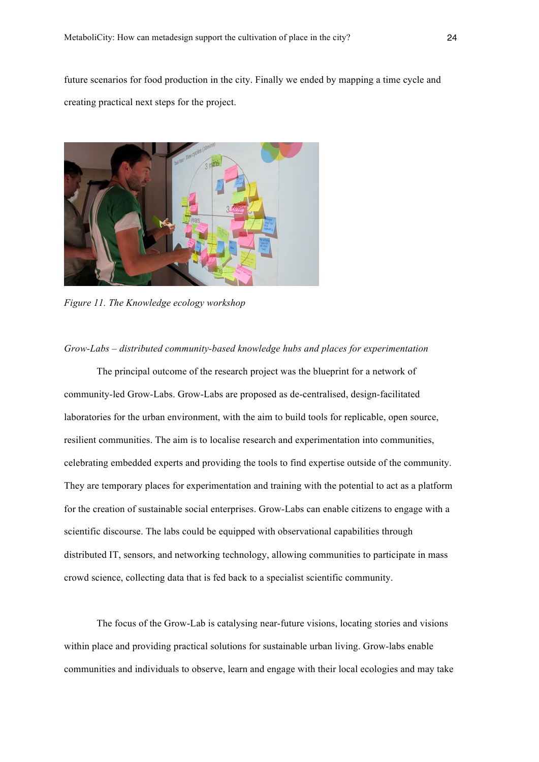future scenarios for food production in the city. Finally we ended by mapping a time cycle and creating practical next steps for the project.



*Figure 11. The Knowledge ecology workshop*

### *Grow-Labs – distributed community-based knowledge hubs and places for experimentation*

The principal outcome of the research project was the blueprint for a network of community-led Grow-Labs. Grow-Labs are proposed as de-centralised, design-facilitated laboratories for the urban environment, with the aim to build tools for replicable, open source, resilient communities. The aim is to localise research and experimentation into communities, celebrating embedded experts and providing the tools to find expertise outside of the community. They are temporary places for experimentation and training with the potential to act as a platform for the creation of sustainable social enterprises. Grow-Labs can enable citizens to engage with a scientific discourse. The labs could be equipped with observational capabilities through distributed IT, sensors, and networking technology, allowing communities to participate in mass crowd science, collecting data that is fed back to a specialist scientific community.

The focus of the Grow-Lab is catalysing near-future visions, locating stories and visions within place and providing practical solutions for sustainable urban living. Grow-labs enable communities and individuals to observe, learn and engage with their local ecologies and may take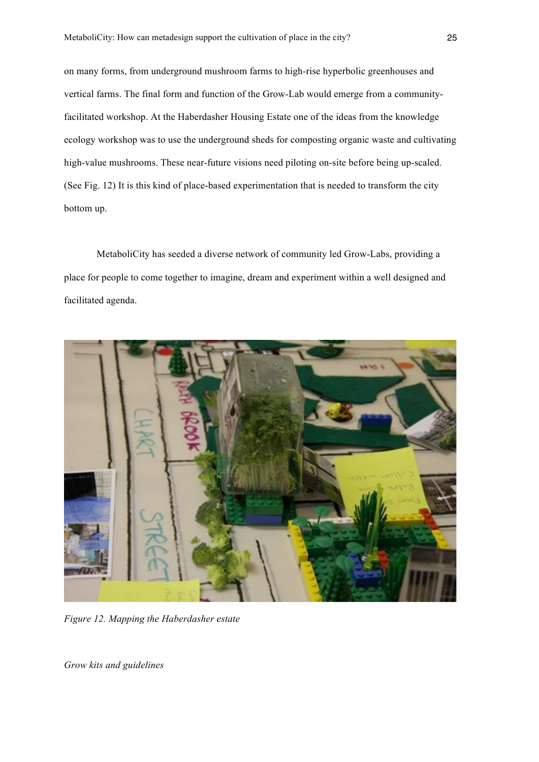on many forms, from underground mushroom farms to high-rise hyperbolic greenhouses and vertical farms. The final form and function of the Grow-Lab would emerge from a communityfacilitated workshop. At the Haberdasher Housing Estate one of the ideas from the knowledge ecology workshop was to use the underground sheds for composting organic waste and cultivating high-value mushrooms. These near-future visions need piloting on-site before being up-scaled. (See Fig. 12) It is this kind of place-based experimentation that is needed to transform the city bottom up.

MetaboliCity has seeded a diverse network of community led Grow-Labs, providing a place for people to come together to imagine, dream and experiment within a well designed and facilitated agenda.



*Figure 12. Mapping the Haberdasher estate*

*Grow kits and guidelines*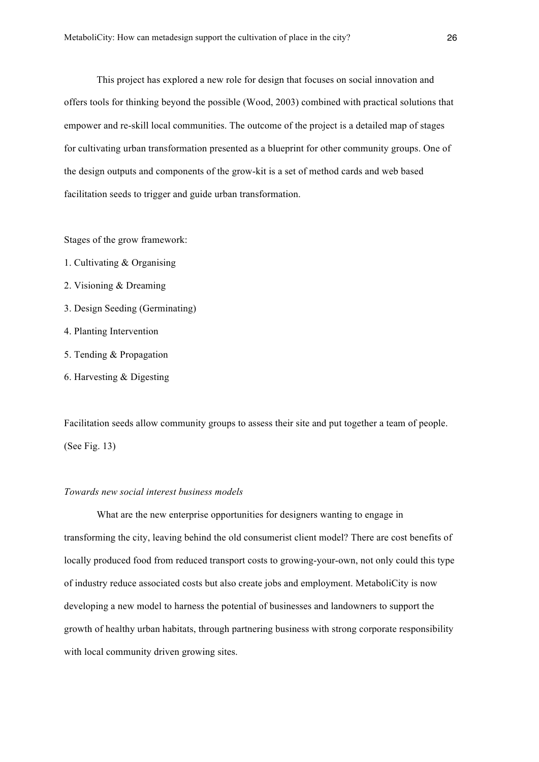This project has explored a new role for design that focuses on social innovation and offers tools for thinking beyond the possible (Wood, 2003) combined with practical solutions that empower and re-skill local communities. The outcome of the project is a detailed map of stages for cultivating urban transformation presented as a blueprint for other community groups. One of the design outputs and components of the grow-kit is a set of method cards and web based facilitation seeds to trigger and guide urban transformation.

Stages of the grow framework:

- 1. Cultivating & Organising
- 2. Visioning & Dreaming
- 3. Design Seeding (Germinating)
- 4. Planting Intervention
- 5. Tending & Propagation
- 6. Harvesting & Digesting

Facilitation seeds allow community groups to assess their site and put together a team of people. (See Fig. 13)

### *Towards new social interest business models*

What are the new enterprise opportunities for designers wanting to engage in transforming the city, leaving behind the old consumerist client model? There are cost benefits of locally produced food from reduced transport costs to growing-your-own, not only could this type of industry reduce associated costs but also create jobs and employment. MetaboliCity is now developing a new model to harness the potential of businesses and landowners to support the growth of healthy urban habitats, through partnering business with strong corporate responsibility with local community driven growing sites.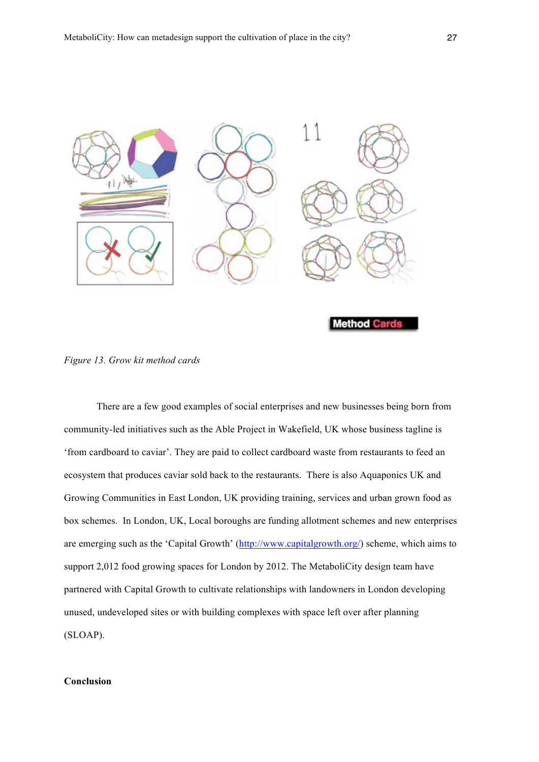

*Figure 13. Grow kit method cards*

There are a few good examples of social enterprises and new businesses being born from community-led initiatives such as the Able Project in Wakefield, UK whose business tagline is 'from cardboard to caviar'. They are paid to collect cardboard waste from restaurants to feed an ecosystem that produces caviar sold back to the restaurants. There is also Aquaponics UK and Growing Communities in East London, UK providing training, services and urban grown food as box schemes. In London, UK, Local boroughs are funding allotment schemes and new enterprises are emerging such as the 'Capital Growth' (http://www.capitalgrowth.org/) scheme, which aims to support 2,012 food growing spaces for London by 2012. The MetaboliCity design team have partnered with Capital Growth to cultivate relationships with landowners in London developing unused, undeveloped sites or with building complexes with space left over after planning (SLOAP).

## **Conclusion**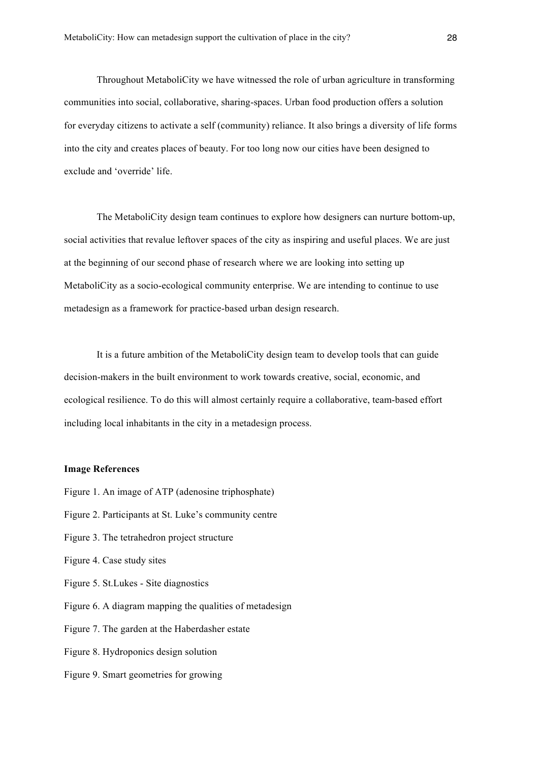Throughout MetaboliCity we have witnessed the role of urban agriculture in transforming communities into social, collaborative, sharing-spaces. Urban food production offers a solution for everyday citizens to activate a self (community) reliance. It also brings a diversity of life forms into the city and creates places of beauty. For too long now our cities have been designed to exclude and 'override' life.

The MetaboliCity design team continues to explore how designers can nurture bottom-up, social activities that revalue leftover spaces of the city as inspiring and useful places. We are just at the beginning of our second phase of research where we are looking into setting up MetaboliCity as a socio-ecological community enterprise. We are intending to continue to use metadesign as a framework for practice-based urban design research.

It is a future ambition of the MetaboliCity design team to develop tools that can guide decision-makers in the built environment to work towards creative, social, economic, and ecological resilience. To do this will almost certainly require a collaborative, team-based effort including local inhabitants in the city in a metadesign process.

### **Image References**

- Figure 1. An image of ATP (adenosine triphosphate)
- Figure 2. Participants at St. Luke's community centre
- Figure 3. The tetrahedron project structure
- Figure 4. Case study sites
- Figure 5. St.Lukes Site diagnostics
- Figure 6. A diagram mapping the qualities of metadesign
- Figure 7. The garden at the Haberdasher estate
- Figure 8. Hydroponics design solution
- Figure 9. Smart geometries for growing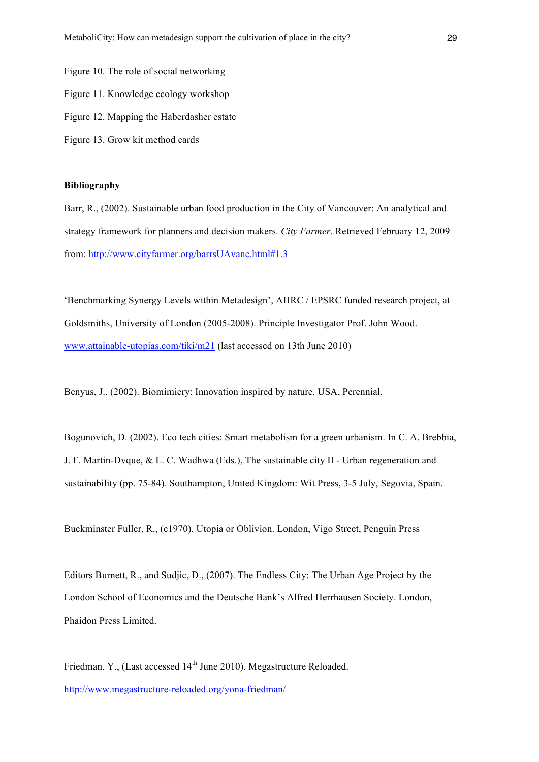Figure 10. The role of social networking Figure 11. Knowledge ecology workshop Figure 12. Mapping the Haberdasher estate Figure 13. Grow kit method cards

### **Bibliography**

Barr, R., (2002). Sustainable urban food production in the City of Vancouver: An analytical and strategy framework for planners and decision makers. *City Farmer*. Retrieved February 12, 2009 from: http://www.cityfarmer.org/barrsUAvanc.html#1.3

'Benchmarking Synergy Levels within Metadesign', AHRC / EPSRC funded research project, at Goldsmiths, University of London (2005-2008). Principle Investigator Prof. John Wood. www.attainable-utopias.com/tiki/m21 (last accessed on 13th June 2010)

Benyus, J., (2002). Biomimicry: Innovation inspired by nature. USA, Perennial.

Bogunovich, D. (2002). Eco tech cities: Smart metabolism for a green urbanism. In C. A. Brebbia, J. F. Martin-Dvque, & L. C. Wadhwa (Eds.), The sustainable city II - Urban regeneration and sustainability (pp. 75-84). Southampton, United Kingdom: Wit Press, 3-5 July, Segovia, Spain.

Buckminster Fuller, R., (c1970). Utopia or Oblivion. London, Vigo Street, Penguin Press

Editors Burnett, R., and Sudjic, D., (2007). The Endless City: The Urban Age Project by the London School of Economics and the Deutsche Bank's Alfred Herrhausen Society. London, Phaidon Press Limited.

Friedman, Y., (Last accessed 14<sup>th</sup> June 2010). Megastructure Reloaded. http://www.megastructure-reloaded.org/yona-friedman/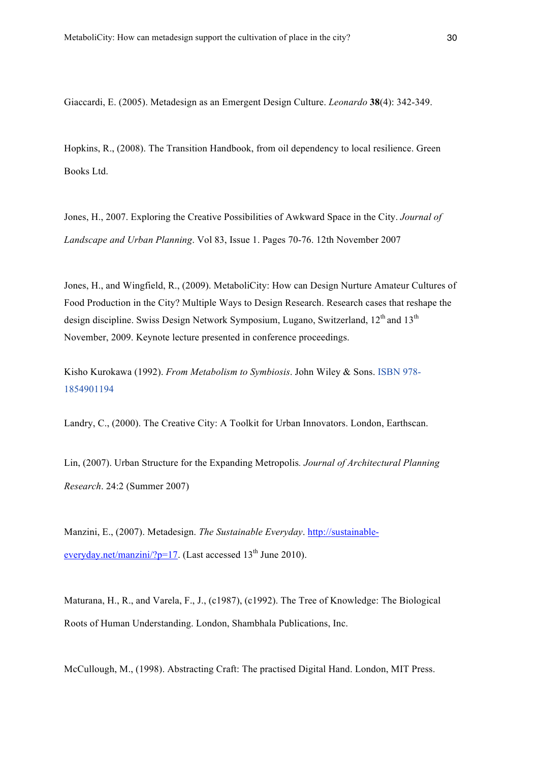Giaccardi, E. (2005). Metadesign as an Emergent Design Culture. *Leonardo* **38**(4): 342-349.

Hopkins, R., (2008). The Transition Handbook, from oil dependency to local resilience. Green Books Ltd.

Jones, H., 2007. Exploring the Creative Possibilities of Awkward Space in the City. *Journal of Landscape and Urban Planning*. Vol 83, Issue 1. Pages 70-76. 12th November 2007

Jones, H., and Wingfield, R., (2009). MetaboliCity: How can Design Nurture Amateur Cultures of Food Production in the City? Multiple Ways to Design Research. Research cases that reshape the design discipline. Swiss Design Network Symposium, Lugano, Switzerland, 12<sup>th</sup> and 13<sup>th</sup> November, 2009. Keynote lecture presented in conference proceedings.

Kisho Kurokawa (1992). *From Metabolism to Symbiosis*. John Wiley & Sons. ISBN 978- 1854901194

Landry, C., (2000). The Creative City: A Toolkit for Urban Innovators. London, Earthscan.

Lin, (2007). Urban Structure for the Expanding Metropolis*. Journal of Architectural Planning Research*. 24:2 (Summer 2007)

Manzini, E., (2007). Metadesign. *The Sustainable Everyday*. http://sustainableeveryday.net/manzini/?p=17. (Last accessed  $13<sup>th</sup>$  June 2010).

Maturana, H., R., and Varela, F., J., (c1987), (c1992). The Tree of Knowledge: The Biological Roots of Human Understanding. London, Shambhala Publications, Inc.

McCullough, M., (1998). Abstracting Craft: The practised Digital Hand. London, MIT Press.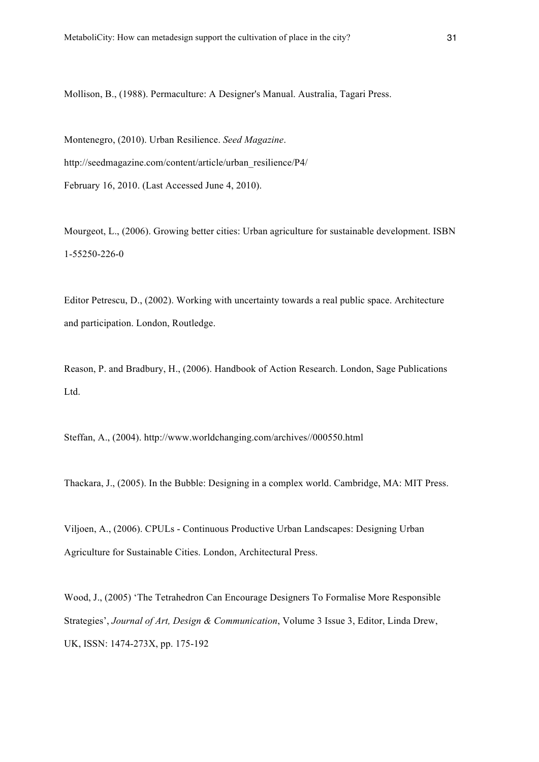Mollison, B., (1988). Permaculture: A Designer's Manual. Australia, Tagari Press.

Montenegro, (2010). Urban Resilience. *Seed Magazine*. http://seedmagazine.com/content/article/urban\_resilience/P4/ February 16, 2010. (Last Accessed June 4, 2010).

Mourgeot, L., (2006). Growing better cities: Urban agriculture for sustainable development. ISBN 1-55250-226-0

Editor Petrescu, D., (2002). Working with uncertainty towards a real public space. Architecture and participation. London, Routledge.

Reason, P. and Bradbury, H., (2006). Handbook of Action Research. London, Sage Publications Ltd.

Steffan, A., (2004). http://www.worldchanging.com/archives//000550.html

Thackara, J., (2005). In the Bubble: Designing in a complex world. Cambridge, MA: MIT Press.

Viljoen, A., (2006). CPULs - Continuous Productive Urban Landscapes: Designing Urban Agriculture for Sustainable Cities. London, Architectural Press.

Wood, J., (2005) 'The Tetrahedron Can Encourage Designers To Formalise More Responsible Strategies', *Journal of Art, Design & Communication*, Volume 3 Issue 3, Editor, Linda Drew, UK, ISSN: 1474-273X, pp. 175-192